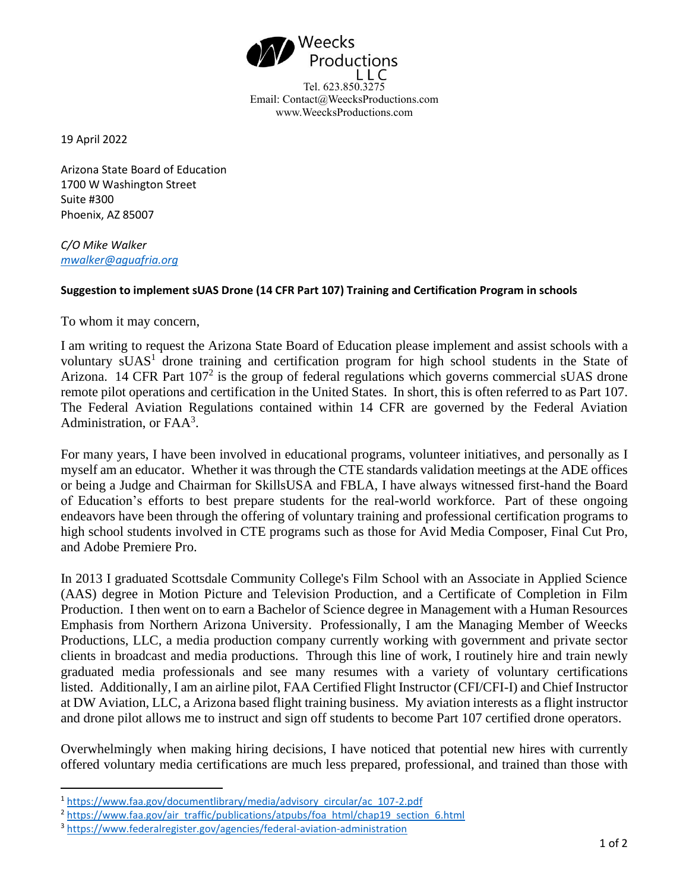

Email: Contact@WeecksProductions.com www.WeecksProductions.com

19 April 2022

Arizona State Board of Education 1700 W Washington Street Suite #300 Phoenix, AZ 85007

*C/O Mike Walker [mwalker@aguafria.org](mailto:mwalker@aguafria.org)*

## **Suggestion to implement sUAS Drone (14 CFR Part 107) Training and Certification Program in schools**

To whom it may concern,

I am writing to request the Arizona State Board of Education please implement and assist schools with a voluntary sUAS<sup>1</sup> drone training and certification program for high school students in the State of Arizona. 14 CFR Part  $107<sup>2</sup>$  is the group of federal regulations which governs commercial sUAS drone remote pilot operations and certification in the United States. In short, this is often referred to as Part 107. The Federal Aviation Regulations contained within 14 CFR are governed by the Federal Aviation Administration, or  $FAA<sup>3</sup>$ .

For many years, I have been involved in educational programs, volunteer initiatives, and personally as I myself am an educator. Whether it was through the CTE standards validation meetings at the ADE offices or being a Judge and Chairman for SkillsUSA and FBLA, I have always witnessed first-hand the Board of Education's efforts to best prepare students for the real-world workforce. Part of these ongoing endeavors have been through the offering of voluntary training and professional certification programs to high school students involved in CTE programs such as those for Avid Media Composer, Final Cut Pro, and Adobe Premiere Pro.

In 2013 I graduated Scottsdale Community College's Film School with an Associate in Applied Science (AAS) degree in Motion Picture and Television Production, and a Certificate of Completion in Film Production. I then went on to earn a Bachelor of Science degree in Management with a Human Resources Emphasis from Northern Arizona University. Professionally, I am the Managing Member of Weecks Productions, LLC, a media production company currently working with government and private sector clients in broadcast and media productions. Through this line of work, I routinely hire and train newly graduated media professionals and see many resumes with a variety of voluntary certifications listed. Additionally, I am an airline pilot, FAA Certified Flight Instructor (CFI/CFI-I) and Chief Instructor at DW Aviation, LLC, a Arizona based flight training business. My aviation interests as a flight instructor and drone pilot allows me to instruct and sign off students to become Part 107 certified drone operators.

Overwhelmingly when making hiring decisions, I have noticed that potential new hires with currently offered voluntary media certifications are much less prepared, professional, and trained than those with

<sup>1</sup> [https://www.faa.gov/documentlibrary/media/advisory\\_circular/ac\\_107-2.pdf](https://www.faa.gov/documentlibrary/media/advisory_circular/ac_107-2.pdf)

<sup>&</sup>lt;sup>2</sup> [https://www.faa.gov/air\\_traffic/publications/atpubs/foa\\_html/chap19\\_section\\_6.html](https://www.faa.gov/air_traffic/publications/atpubs/foa_html/chap19_section_6.html)

<sup>3</sup> <https://www.federalregister.gov/agencies/federal-aviation-administration>